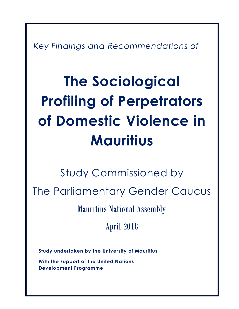*Key Findings and Recommendations of* 

# **The Sociological Profiling of Perpetrators of Domestic Violence in Mauritius**

Study Commissioned by The Parliamentary Gender Caucus Mauritius National Assembly

April 2018

**Study undertaken by the University of Mauritius**

**With the support of the United Nations Development Programme**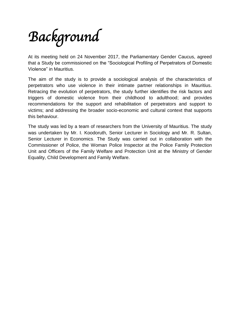# *Background*

At its meeting held on 24 November 2017, the Parliamentary Gender Caucus, agreed that a Study be commissioned on the "Sociological Profiling of Perpetrators of Domestic Violence" in Mauritius.

The aim of the study is to provide a sociological analysis of the characteristics of perpetrators who use violence in their intimate partner relationships in Mauritius. Retracing the evolution of perpetrators, the study further identifies the risk factors and triggers of domestic violence from their childhood to adulthood; and provides recommendations for the support and rehabilitation of perpetrators and support to victims; and addressing the broader socio-economic and cultural context that supports this behaviour.

The study was led by a team of researchers from the University of Mauritius. The study was undertaken by Mr. I. Koodoruth, Senior Lecturer in Sociology and Mr. R. Sultan, Senior Lecturer in Economics. The Study was carried out in collaboration with the Commissioner of Police, the Woman Police Inspector at the Police Family Protection Unit and Officers of the Family Welfare and Protection Unit at the Ministry of Gender Equality, Child Development and Family Welfare.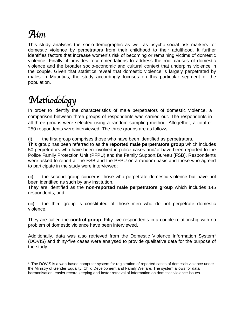## *Aim*

 $\overline{\phantom{a}}$ 

This study analyses the socio-demographic as well as psycho-social risk markers for domestic violence by perpetrators from their childhood to their adulthood. It further identifies factors that increase women's risk of becoming or remaining victims of domestic violence. Finally, it provides recommendations to address the root causes of domestic violence and the broader socio-economic and cultural context that underpins violence in the couple. Given that statistics reveal that domestic violence is largely perpetrated by males in Mauritius, the study accordingly focuses on this particular segment of the population.

# *Methodology*

In order to identify the characteristics of male perpetrators of domestic violence, a comparison between three groups of respondents was carried out. The respondents in all three groups were selected using a random sampling method. Altogether, a total of 250 respondents were interviewed. The three groups are as follows:

(i) the first group comprises those who have been identified as perpetrators.

This group has been referred to as the **reported male perpetrators group** which includes 50 perpetrators who have been involved in police cases and/or have been reported to the Police Family Protection Unit (PFPU) and the Family Support Bureau (FSB). Respondents were asked to report at the FSB and the PFPU on a random basis and those who agreed to participate in the study were interviewed;

(ii) the second group concerns those who perpetrate domestic violence but have not been identified as such by any institution.

They are identified as the **non-reported male perpetrators group** which includes 145 respondents; and

(iii) the third group is constituted of those men who do not perpetrate domestic violence.

They are called the **control group**. Fifty-five respondents in a couple relationship with no problem of domestic violence have been interviewed.

Additionally, data was also retrieved from the Domestic Violence Information System<sup>1</sup> (DOVIS) and thirty-five cases were analysed to provide qualitative data for the purpose of the study.

 $1$  The DOVIS is a web-based computer system for registration of reported cases of domestic violence under the Ministry of Gender Equality, Child Development and Family Welfare. The system allows for data harmonisation, easier record keeping and faster retrieval of information on domestic violence issues.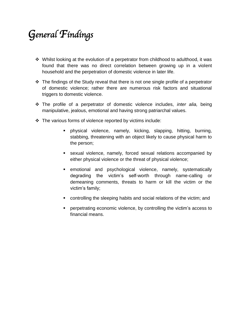# *General Findings*

- $\div$  Whilst looking at the evolution of a perpetrator from childhood to adulthood, it was found that there was no direct correlation between growing up in a violent household and the perpetration of domestic violence in later life.
- $\cdot$  The findings of the Study reveal that there is not one single profile of a perpetrator of domestic violence; rather there are numerous risk factors and situational triggers to domestic violence.
- The profile of a perpetrator of domestic violence includes, *inter alia,* being manipulative, jealous, emotional and having strong patriarchal values.
- $\cdot \cdot$  The various forms of violence reported by victims include:
	- physical violence, namely, kicking, slapping, hitting, burning, stabbing, threatening with an object likely to cause physical harm to the person;
	- sexual violence, namely, forced sexual relations accompanied by either physical violence or the threat of physical violence;
	- emotional and psychological violence, namely, systematically degrading the victim's self-worth through name-calling or demeaning comments, threats to harm or kill the victim or the victim's family;
	- controlling the sleeping habits and social relations of the victim; and
	- perpetrating economic violence, by controlling the victim's access to financial means.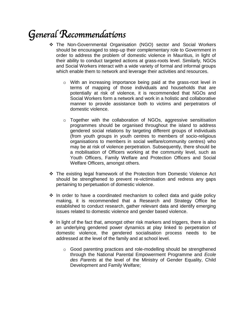## *General Recommendations*

- The Non-Governmental Organisation (NGO) sector and Social Workers should be encouraged to step-up their complementary role to Government in order to address the problem of domestic violence in Mauritius, in light of their ability to conduct targeted actions at grass-roots level. Similarly, NGOs and Social Workers interact with a wide variety of formal and informal groups which enable them to network and leverage their activities and resources.
	- o With an increasing importance being paid at the grass-root level in terms of mapping of those individuals and households that are potentially at risk of violence, it is recommended that NGOs and Social Workers form a network and work in a holistic and collaborative manner to provide assistance both to victims and perpetrators of domestic violence.
	- o Together with the collaboration of NGOs, aggressive sensitisation programmes should be organised throughout the island to address gendered social relations by targeting different groups of individuals (from youth groups in youth centres to members of socio-religious organisations to members in social welfare/community centres) who may be at risk of violence perpetration. Subsequently, there should be a mobilisation of Officers working at the community level, such as Youth Officers, Family Welfare and Protection Officers and Social Welfare Officers, amongst others.
- The existing legal framework of the Protection from Domestic Violence Act should be strengthened to prevent re-victimisation and redress any gaps pertaining to perpetuation of domestic violence.
- $\cdot$  In order to have a coordinated mechanism to collect data and quide policy making, it is recommended that a Research and Strategy Office be established to conduct research, gather relevant data and identify emerging issues related to domestic violence and gender based violence.
- $\div$  In light of the fact that, amongst other risk markers and triggers, there is also an underlying gendered power dynamics at play linked to perpetration of domestic violence, the gendered socialisation process needs to be addressed at the level of the family and at school level.
	- o Good parenting practices and role-modelling should be strengthened through the National Parental Empowerment Programme and *Ecole des Parents* at the level of the Ministry of Gender Equality, Child Development and Family Welfare;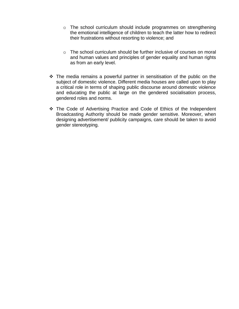- o The school curriculum should include programmes on strengthening the emotional intelligence of children to teach the latter how to redirect their frustrations without resorting to violence; and
- $\circ$  The school curriculum should be further inclusive of courses on moral and human values and principles of gender equality and human rights as from an early level.
- $\cdot \cdot$  The media remains a powerful partner in sensitisation of the public on the subject of domestic violence. Different media houses are called upon to play a critical role in terms of shaping public discourse around domestic violence and educating the public at large on the gendered socialisation process, gendered roles and norms.
- \* The Code of Advertising Practice and Code of Ethics of the Independent Broadcasting Authority should be made gender sensitive. Moreover, when designing advertisement/ publicity campaigns, care should be taken to avoid gender stereotyping.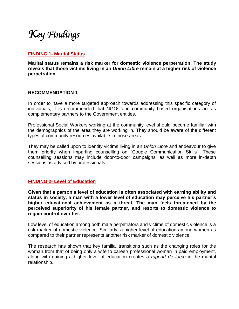### *Key Findings*

#### **FINDING 1- Marital Status**

**Marital status remains a risk marker for domestic violence perpetration. The study reveals that those victims living in an** *Union Libre* **remain at a higher risk of violence perpetration.**

#### **RECOMMENDATION 1**

In order to have a more targeted approach towards addressing this specific category of individuals, it is recommended that NGOs and community based organisations act as complementary partners to the Government entities.

Professional Social Workers working at the community level should become familiar with the demographics of the area they are working in. They should be aware of the different types of community resources available in those areas.

They may be called upon to identify victims living in an *Union Libre* and endeavour to give them priority when imparting counselling on "Couple Communication Skills". These counselling sessions may include door-to-door campaigns, as well as more in-depth sessions as advised by professionals.

#### **FINDING 2- Level of Education**

**Given that a person's level of education is often associated with earning ability and status in society, a man with a lower level of education may perceive his partner's higher educational achievement as a threat. The man feels threatened by the perceived superiority of his female partner, and resorts to domestic violence to regain control over her.**

Low level of education among both male perpetrators and victims of domestic violence is a risk marker of domestic violence. Similarly, a higher level of education among women as compared to their partner represents another risk marker of domestic violence.

The research has shown that key familial transitions such as the changing roles for the woman from that of being only a wife to career/ professional woman in paid employment, along with gaining a higher level of education creates a *rapport de force* in the marital relationship.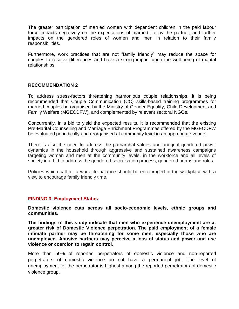The greater participation of married women with dependent children in the paid labour force impacts negatively on the expectations of married life by the partner, and further impacts on the gendered roles of women and men in relation to their family responsibilities.

Furthermore, work practices that are not "family friendly" may reduce the space for couples to resolve differences and have a strong impact upon the well-being of marital relationships.

#### **RECOMMENDATION 2**

To address stress-factors threatening harmonious couple relationships, it is being recommended that Couple Communication (CC) skills-based training programmes for married couples be organised by the Ministry of Gender Equality, Child Development and Family Welfare (MGECDFW), and complemented by relevant sectoral NGOs.

Concurrently, in a bid to yield the expected results, it is recommended that the existing Pre-Marital Counselling and Marriage Enrichment Programmes offered by the MGECDFW be evaluated periodically and reorganised at community level in an appropriate venue.

There is also the need to address the patriarchal values and unequal gendered power dynamics in the household through aggressive and sustained awareness campaigns targeting women and men at the community levels, in the workforce and all levels of society in a bid to address the gendered socialisation process, gendered norms and roles.

Policies which call for a work-life balance should be encouraged in the workplace with a view to encourage family friendly time.

#### **FINDING 3- Employment Status**

**Domestic violence cuts across all socio-economic levels, ethnic groups and communities.** 

**The findings of this study indicate that men who experience unemployment are at greater risk of Domestic Violence perpetration. The paid employment of a female intimate partner may be threatening for some men, especially those who are unemployed. Abusive partners may perceive a loss of status and power and use violence or coercion to regain control.**

More than 50% of reported perpetrators of domestic violence and non-reported perpetrators of domestic violence do not have a permanent job. The level of unemployment for the perpetrator is highest among the reported perpetrators of domestic violence group.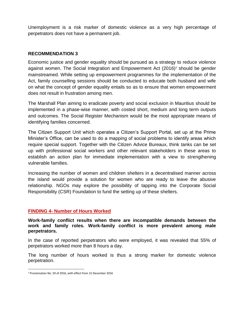Unemployment is a risk marker of domestic violence as a very high percentage of perpetrators does not have a permanent job.

#### **RECOMMENDATION 3**

Economic justice and gender equality should be pursued as a strategy to reduce violence against women. The Social Integration and Empowerment Act (2016)<sup>2</sup> should be gender mainstreamed. While setting up empowerment programmes for the implementation of the Act, family counselling sessions should be conducted to educate both husband and wife on what the concept of gender equality entails so as to ensure that women empowerment does not result in frustration among men.

The Marshall Plan aiming to eradicate poverty and social exclusion in Mauritius should be implemented in a phase-wise manner, with costed short, medium and long term outputs and outcomes. The Social Register Mechanism would be the most appropriate means of identifying families concerned.

The Citizen Support Unit which operates a Citizen's Support Portal, set up at the Prime Minister's Office, can be used to do a mapping of social problems to identify areas which require special support. Together with the Citizen Advice Bureaux, think tanks can be set up with professional social workers and other relevant stakeholders in these areas to establish an action plan for immediate implementation with a view to strengthening vulnerable families.

Increasing the number of women and children shelters in a decentralised manner across the island would provide a solution for women who are ready to leave the abusive relationship. NGOs may explore the possibility of tapping into the Corporate Social Responsibility (CSR) Foundation to fund the setting up of these shelters.

#### **FINDING 4- Number of Hours Worked**

**Work-family conflict results when there are incompatible demands between the work and family roles. Work-family conflict is more prevalent among male perpetrators.**

In the case of reported perpetrators who were employed, it was revealed that 55% of perpetrators worked more than 8 hours a day.

The long number of hours worked is thus a strong marker for domestic violence perpetration.

 $\overline{\phantom{a}}$ 

<sup>2</sup> Proclamation No. 59 of 2016, with effect from 15 December 2016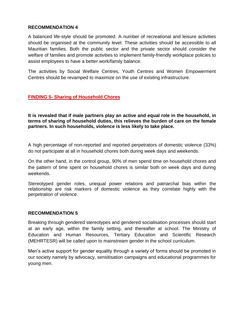#### **RECOMMENDATION 4**

A balanced life-style should be promoted. A number of recreational and leisure activities should be organised at the community level. These activities should be accessible to all Mauritian families. Both the public sector and the private sector should consider the welfare of families and promote activities to implement family-friendly workplace policies to assist employees to have a better work/family balance.

The activities by Social Welfare Centres, Youth Centres and Women Empowerment Centres should be revamped to maximize on the use of existing infrastructure.

#### **FINDING 5- Sharing of Household Chores**

**It is revealed that if male partners play an active and equal role in the household, in terms of sharing of household duties, this relieves the burden of care on the female partners. In such households, violence is less likely to take place.**

A high percentage of non-reported and reported perpetrators of domestic violence (33%) do not participate at all in household chores both during week days and weekends.

On the other hand, in the control group, 90% of men spend time on household chores and the pattern of time spent on household chores is similar both on week days and during weekends.

Stereotyped gender roles, unequal power relations and patriarchal bias within the relationship are risk markers of domestic violence as they correlate highly with the perpetration of violence.

#### **RECOMMENDATION 5**

Breaking through gendered stereotypes and gendered socialisation processes should start at an early age, within the family setting, and thereafter at school. The Ministry of Education and Human Resources, Tertiary Education and Scientific Research (MEHRTESR) will be called upon to mainstream gender in the school curriculum.

Men's active support for gender equality through a variety of forms should be promoted in our society namely by advocacy, sensitisation campaigns and educational programmes for young men.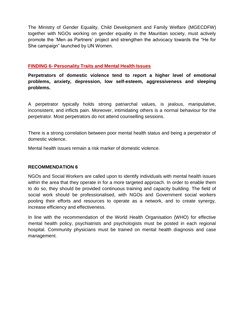The Ministry of Gender Equality, Child Development and Family Welfare (MGECDFW) together with NGOs working on gender equality in the Mauritian society, must actively promote the 'Men as Partners' project and strengthen the advocacy towards the "He for She campaign" launched by UN Women.

#### **FINDING 6- Personality Traits and Mental Health Issues**

**Perpetrators of domestic violence tend to report a higher level of emotional problems, anxiety, depression, low self-esteem, aggressiveness and sleeping problems.**

A perpetrator typically holds strong patriarchal values, is jealous, manipulative, inconsistent, and inflicts pain. Moreover, intimidating others is a normal behaviour for the perpetrator. Most perpetrators do not attend counselling sessions.

There is a strong correlation between poor mental health status and being a perpetrator of domestic violence.

Mental health issues remain a risk marker of domestic violence.

#### **RECOMMENDATION 6**

NGOs and Social Workers are called upon to identify individuals with mental health issues within the area that they operate in for a more targeted approach. In order to enable them to do so, they should be provided continuous training and capacity building. The field of social work should be professionalised, with NGOs and Government social workers pooling their efforts and resources to operate as a network, and to create synergy, increase efficiency and effectiveness.

In line with the recommendation of the World Health Organisation (WHO) for effective mental health policy, psychiatrists and psychologists must be posted in each regional hospital. Community physicians must be trained on mental health diagnosis and case management.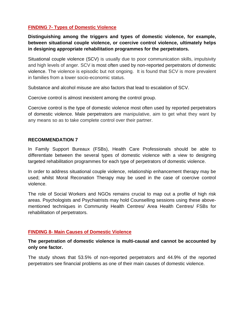#### **FINDING 7- Types of Domestic Violence**

**Distinguishing among the triggers and types of domestic violence, for example, between situational couple violence, or coercive control violence, ultimately helps in designing appropriate rehabilitation programmes for the perpetrators.** 

Situational couple violence (SCV) is usually due to poor communication skills, impulsivity and high levels of anger. SCV is most often used by non-reported perpetrators of domestic violence. The violence is episodic but not ongoing. It is found that SCV is more prevalent in families from a lower socio-economic status.

Substance and alcohol misuse are also factors that lead to escalation of SCV.

Coercive control is almost inexistent among the control group.

Coercive control is the type of domestic violence most often used by reported perpetrators of domestic violence. Male perpetrators are manipulative, aim to get what they want by any means so as to take complete control over their partner.

#### **RECOMMENDATION 7**

In Family Support Bureaux (FSBs), Health Care Professionals should be able to differentiate between the several types of domestic violence with a view to designing targeted rehabilitation programmes for each type of perpetrators of domestic violence.

In order to address situational couple violence, relationship enhancement therapy may be used; whilst Moral Reconation Therapy may be used in the case of coercive control violence.

The role of Social Workers and NGOs remains crucial to map out a profile of high risk areas. Psychologists and Psychiatrists may hold Counselling sessions using these abovementioned techniques in Community Health Centres/ Area Health Centres/ FSBs for rehabilitation of perpetrators.

#### **FINDING 8- Main Causes of Domestic Violence**

**The perpetration of domestic violence is multi-causal and cannot be accounted by only one factor.**

The study shows that 53.5% of non-reported perpetrators and 44.9% of the reported perpetrators see financial problems as one of their main causes of domestic violence.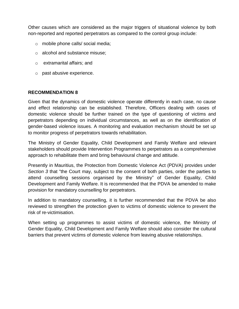Other causes which are considered as the major triggers of situational violence by both non-reported and reported perpetrators as compared to the control group include:

- o mobile phone calls/ social media;
- o alcohol and substance misuse;
- o extramarital affairs; and
- o past abusive experience.

#### **RECOMMENDATION 8**

Given that the dynamics of domestic violence operate differently in each case, no cause and effect relationship can be established. Therefore, Officers dealing with cases of domestic violence should be further trained on the type of questioning of victims and perpetrators depending on individual circumstances, as well as on the identification of gender-based violence issues. A monitoring and evaluation mechanism should be set up to monitor progress of perpetrators towards rehabilitation.

The Ministry of Gender Equality, Child Development and Family Welfare and relevant stakeholders should provide Intervention Programmes to perpetrators as a comprehensive approach to rehabilitate them and bring behavioural change and attitude.

Presently in Mauritius, the Protection from Domestic Violence Act (PDVA) provides under *Section 3* that "the Court may, subject to the consent of both parties, order the parties to attend counselling sessions organised by the Ministry" of Gender Equality, Child Development and Family Welfare. It is recommended that the PDVA be amended to make provision for mandatory counselling for perpetrators.

In addition to mandatory counselling, it is further recommended that the PDVA be also reviewed to strengthen the protection given to victims of domestic violence to prevent the risk of re-victimisation.

When setting up programmes to assist victims of domestic violence, the Ministry of Gender Equality, Child Development and Family Welfare should also consider the cultural barriers that prevent victims of domestic violence from leaving abusive relationships.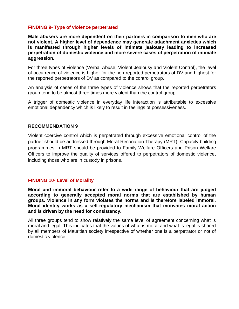#### **FINDING 9- Type of violence perpetrated**

**Male abusers are more dependent on their partners in comparison to men who are not violent. A higher level of dependence may generate attachment anxieties which is manifested through higher levels of intimate jealousy leading to increased perpetration of domestic violence and more severe cases of perpetration of intimate aggression.**

For three types of violence (Verbal Abuse; Violent Jealousy and Violent Control), the level of occurrence of violence is higher for the non-reported perpetrators of DV and highest for the reported perpetrators of DV as compared to the control group.

An analysis of cases of the three types of violence shows that the reported perpetrators group tend to be almost three times more violent than the control group.

A trigger of domestic violence in everyday life interaction is attributable to excessive emotional dependency which is likely to result in feelings of possessiveness.

#### **RECOMMENDATION 9**

Violent coercive control which is perpetrated through excessive emotional control of the partner should be addressed through Moral Reconation Therapy (MRT). Capacity building programmes in MRT should be provided to Family Welfare Officers and Prison Welfare Officers to improve the quality of services offered to perpetrators of domestic violence, including those who are in custody in prisons.

#### **FINDING 10- Level of Morality**

**Moral and immoral behaviour refer to a wide range of behaviour that are judged according to generally accepted moral norms that are established by human groups. Violence in any form violates the norms and is therefore labeled immoral. Moral identity works as a self-regulatory mechanism that motivates moral action and is driven by the need for consistency.**

All three groups tend to show relatively the same level of agreement concerning what is moral and legal. This indicates that the values of what is moral and what is legal is shared by all members of Mauritian society irrespective of whether one is a perpetrator or not of domestic violence.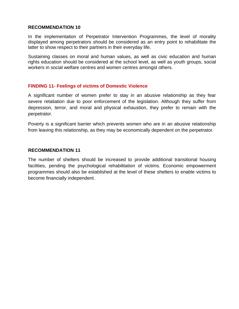#### **RECOMMENDATION 10**

In the implementation of Perpetrator Intervention Programmes, the level of morality displayed among perpetrators should be considered as an entry point to rehabilitate the latter to show respect to their partners in their everyday life.

Sustaining classes on moral and human values, as well as civic education and human rights education should be considered at the school level, as well as youth groups, social workers in social welfare centres and women centres amongst others.

#### **FINDING 11- Feelings of victims of Domestic Violence**

A significant number of women prefer to stay in an abusive relationship as they fear severe retaliation due to poor enforcement of the legislation. Although they suffer from depression, terror, and moral and physical exhaustion, they prefer to remain with the perpetrator.

Poverty is a significant barrier which prevents women who are in an abusive relationship from leaving this relationship, as they may be economically dependent on the perpetrator.

#### **RECOMMENDATION 11**

The number of shelters should be increased to provide additional transitional housing facilities, pending the psychological rehabilitation of victims. Economic empowerment programmes should also be established at the level of these shelters to enable victims to become financially independent.